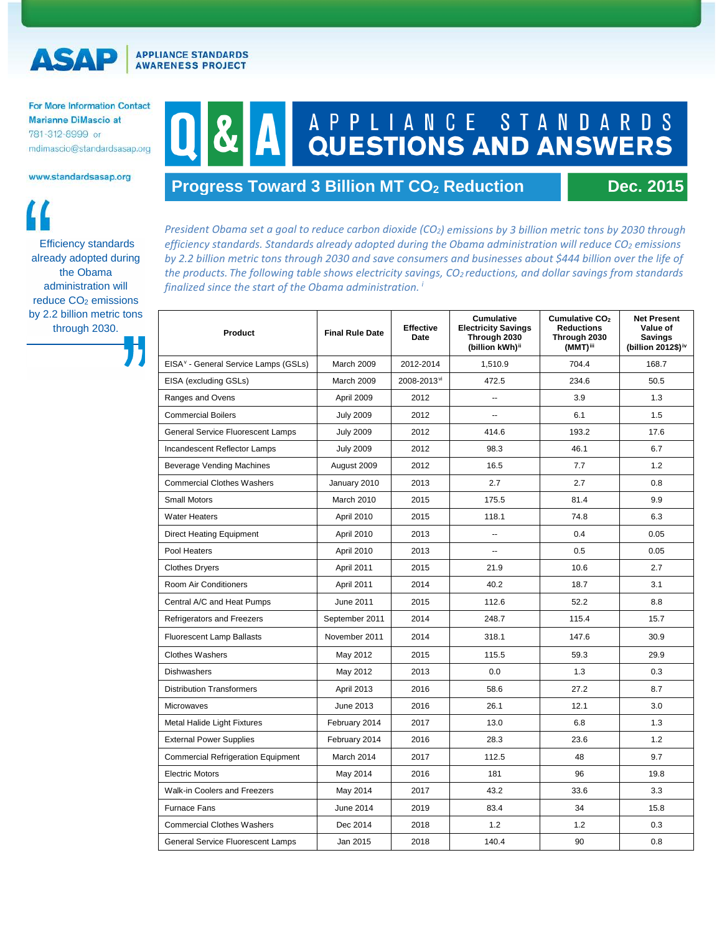**APPLIANCE STANDARDS AWARENESS PROJECT** 

For More Information Contact **Marianne DiMascio at** 781-312-8999 or mdimascio@standardsasap.org

www.standardsasap.org

ASA

Efficiency standards already adopted during the Obama administration will reduce CO<sub>2</sub> emissions by 2.2 billion metric tons through 2030.

## A P P L I A N C E S T A N D A R D S QUESTIONS AND ANSWERS

## **Progress Toward 3 Billion MT CO<sub>2</sub> Reduction Dec. 2015**

*President Obama set a goal to reduce carbon dioxide (CO2) emissions by 3 billion metric tons by 2030 through efficiency standards. Standards already adopted during the Obama administration will reduce CO2 emissions by 2.2 billion metric tons through 2030 and save consumers and businesses about \$444 billion over the life of the products. The following table shows electricity savings, CO2 reductions, and dollar savings from standards finalized since the start of the Obama administration. [i](#page-1-0)*

| Product                                          | <b>Final Rule Date</b> | <b>Effective</b><br><b>Date</b> | <b>Cumulative</b><br><b>Electricity Savings</b><br>Through 2030<br>(billion kWh) <sup>ii</sup> | Cumulative CO <sub>2</sub><br><b>Reductions</b><br>Through 2030<br>(MMT)iii | <b>Net Present</b><br>Value of<br><b>Savings</b><br>(billion 2012\$) <sup>iv</sup> |
|--------------------------------------------------|------------------------|---------------------------------|------------------------------------------------------------------------------------------------|-----------------------------------------------------------------------------|------------------------------------------------------------------------------------|
| EISA <sup>v</sup> - General Service Lamps (GSLs) | March 2009             | 2012-2014                       | 1,510.9                                                                                        | 704.4                                                                       | 168.7                                                                              |
| EISA (excluding GSLs)                            | March 2009             | 2008-2013 <sup>vi</sup>         | 472.5                                                                                          | 234.6                                                                       | 50.5                                                                               |
| Ranges and Ovens                                 | April 2009             | 2012                            | $\overline{\phantom{a}}$                                                                       | 3.9                                                                         | 1.3                                                                                |
| <b>Commercial Boilers</b>                        | <b>July 2009</b>       | 2012                            | ш.                                                                                             | 6.1                                                                         | 1.5                                                                                |
| General Service Fluorescent Lamps                | <b>July 2009</b>       | 2012                            | 414.6                                                                                          | 193.2                                                                       | 17.6                                                                               |
| Incandescent Reflector Lamps                     | <b>July 2009</b>       | 2012                            | 98.3                                                                                           | 46.1                                                                        | 6.7                                                                                |
| <b>Beverage Vending Machines</b>                 | August 2009            | 2012                            | 16.5                                                                                           | 7.7                                                                         | 1.2                                                                                |
| <b>Commercial Clothes Washers</b>                | January 2010           | 2013                            | 2.7                                                                                            | 2.7                                                                         | 0.8                                                                                |
| <b>Small Motors</b>                              | March 2010             | 2015                            | 175.5                                                                                          | 81.4                                                                        | 9.9                                                                                |
| <b>Water Heaters</b>                             | April 2010             | 2015                            | 118.1                                                                                          | 74.8                                                                        | 6.3                                                                                |
| <b>Direct Heating Equipment</b>                  | April 2010             | 2013                            | $\overline{\phantom{a}}$                                                                       | 0.4                                                                         | 0.05                                                                               |
| Pool Heaters                                     | April 2010             | 2013                            | $\overline{a}$                                                                                 | 0.5                                                                         | 0.05                                                                               |
| <b>Clothes Dryers</b>                            | April 2011             | 2015                            | 21.9                                                                                           | 10.6                                                                        | 2.7                                                                                |
| Room Air Conditioners                            | April 2011             | 2014                            | 40.2                                                                                           | 18.7                                                                        | 3.1                                                                                |
| Central A/C and Heat Pumps                       | June 2011              | 2015                            | 112.6                                                                                          | 52.2                                                                        | 8.8                                                                                |
| Refrigerators and Freezers                       | September 2011         | 2014                            | 248.7                                                                                          | 115.4                                                                       | 15.7                                                                               |
| <b>Fluorescent Lamp Ballasts</b>                 | November 2011          | 2014                            | 318.1                                                                                          | 147.6                                                                       | 30.9                                                                               |
| <b>Clothes Washers</b>                           | May 2012               | 2015                            | 115.5                                                                                          | 59.3                                                                        | 29.9                                                                               |
| <b>Dishwashers</b>                               | May 2012               | 2013                            | 0.0                                                                                            | 1.3                                                                         | 0.3                                                                                |
| <b>Distribution Transformers</b>                 | <b>April 2013</b>      | 2016                            | 58.6                                                                                           | 27.2                                                                        | 8.7                                                                                |
| Microwaves                                       | June 2013              | 2016                            | 26.1                                                                                           | 12.1                                                                        | 3.0                                                                                |
| <b>Metal Halide Light Fixtures</b>               | February 2014          | 2017                            | 13.0                                                                                           | 6.8                                                                         | 1.3                                                                                |
| <b>External Power Supplies</b>                   | February 2014          | 2016                            | 28.3                                                                                           | 23.6                                                                        | 1.2                                                                                |
| <b>Commercial Refrigeration Equipment</b>        | March 2014             | 2017                            | 112.5                                                                                          | 48                                                                          | 9.7                                                                                |
| <b>Electric Motors</b>                           | May 2014               | 2016                            | 181                                                                                            | 96                                                                          | 19.8                                                                               |
| Walk-in Coolers and Freezers                     | May 2014               | 2017                            | 43.2                                                                                           | 33.6                                                                        | 3.3                                                                                |
| <b>Furnace Fans</b>                              | June 2014              | 2019                            | 83.4                                                                                           | 34                                                                          | 15.8                                                                               |
| <b>Commercial Clothes Washers</b>                | Dec 2014               | 2018                            | 1.2                                                                                            | 1.2                                                                         | 0.3                                                                                |
| General Service Fluorescent Lamps                | Jan 2015               | 2018                            | 140.4                                                                                          | 90                                                                          | 0.8                                                                                |